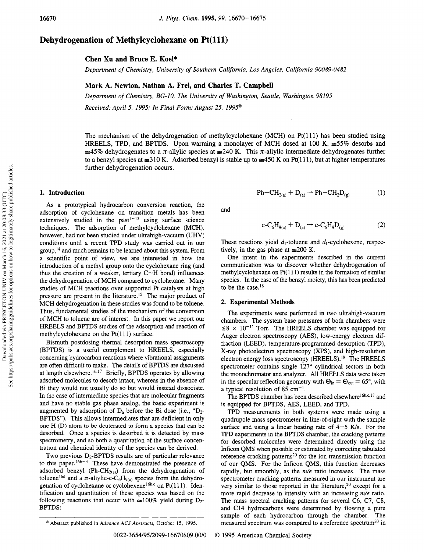# Dehydrogenation of Methylcyclohexane on Pt(111)

Chen Xu and Bruce E. Koel\*

Department of Chemistry, University of Southern California, Los Angeles, California 90089-0482

## Mark A. Newton, Nathan A. Freí, and Charles T. Campbell

Department of Chemistry, BG-10, The University of Washington, Seattle, Washington 98195 Received: April 5, 1995; In Final Form: August 25, 1995®

The mechanism of the dehydrogenation of methylcyclohexane (MCH) on Pt(111) has been studied using HREELS, TPD, and BPTDS. Upon warming a monolayer of MCH dosed at 100 K,  $\approx$  55% desorbs and  $\approx$ 45% dehydrogenates to a  $\pi$ -allylic species at  $\approx$ 240 K. This  $\pi$ -allylic intermediate dehydrogenates further to a benzyl species at  $\approx$ 310 K. Adsorbed benzyl is stable up to  $\approx$ 450 K on Pt(111), but at higher temperatures further dehydrogenation occurs.

## 1. Introduction

As <sup>a</sup> prototypical hydrocarbon conversion reaction, the adsorption of cyclohexane on transition metals has been extensively studied in the  $past<sup>1-13</sup>$  using surface science techniques. The adsorption of methylcyclohexane (MCH), however, had not been studied under ultrahigh-vacuum (UHV) conditions until <sup>a</sup> recent TPD study was carried out in our  $group, <sup>14</sup>$  and much remains to be learned about this system. From <sup>a</sup> scientific point of view, we are interested in how the introduction of <sup>a</sup> methyl group onto the cyclohexane ring (and thus the creation of a weaker, tertiary  $C-H$  bond) influences the dehydrogenation of MCH compared to cyclohexane. Many studies of MCH reactions over supported Pt catalysts at high pressure are present in the literature.<sup>15</sup> The major product of MCH dehydrogenation in these studies was found to be toluene. Thus, fundamental studies of the mechanism of the conversion of MCE to toluene are of interest. In this paper we report our HREELS and BPTDS studies of the adsorption and reaction of methylcyclohexane on the  $Pt(111)$  surface.

Bismuth postdosing thermal desorption mass spectroscopy (BPTDS) is a useful complement to HREELS, especially concerning hydrocarbon reactions where vibrational assignments are often difficult to make. The details of BPTDS are discussed at length elsewhere.<sup>16,17</sup> Briefly, BPTDS operates by allowing adsorbed molecules to desorb intact, whereas in the absence of Bi they would not usually do so but would instead dissociate. In the case of intermediate species that are molecular fragments and have no stable gas phase analog, the basic experiment is augmented by adsorption of  $D_a$  before the Bi dose (i.e., " $D_2$ -BPTDS"). This allows intermediates that are deficient in only one H (D) atom to be deuterated to form <sup>a</sup> species that can be desorbed. Once <sup>a</sup> species is desorbed it is detected by mass spectrometry, and so both <sup>a</sup> quantitation of the surface concentration and chemical identity of the species can be derived.

Two previous D<sub>2</sub>-BPTDS results are of particular relevance to this paper.16b-d These have demonstrated the presence of adsorbed benzyl (Ph-CH<sub>2(a)</sub>) from the dehydrogenation of toluene<sup>16d</sup> and a  $\pi$ -allylic-c-C<sub>6</sub>H<sub>9(a)</sub> species from the dehydrogenation of cyclohexane or cyclohexene<sup>16b,c</sup> on Pt $(111)$ . Identification and quantitation of these species was based on the following reactions that occur with  $\approx 100\%$  yield during D<sub>2</sub>-BPTDS:

$$
Ph-CH_{2(a)} + D_{(a)} \rightarrow Ph-CH_2D_{(g)}
$$
 (1)

and

$$
c - C_6 H_{9(a)} + D_{(a)} \rightarrow c - C_6 H_9 D_{(g)}
$$
 (2)

These reactions yield  $d_1$ -toluene and  $d_1$ -cyclohexene, respectively, in the gas phase at  $\approx 200$  K.

One intent in the experiments described in the current communication was to discover whether dehydrogenation of methylcyclohexane on  $Pt(111)$  results in the formation of similar species. In the case of the benzyl moiety, this has been predicted to be the case.<sup>18</sup>

### 2. Experimental Methods

The experiments were performed in two ultrahigh-vacuum chambers. The system base pressures of both chambers were  $\leq 8 \times 10^{-11}$  Torr. The HREELS chamber was equipped for Auger electron spectroscopy (AES), low-energy electron diffraction (LEED), temperature-programmed desorption (TPD), X-ray photoelectron spectroscopy (XPS), and high-resolution electron energy loss spectroscopy (HREELS).<sup>19</sup> The HREELS spectrometer contains single 127° cylindrical sectors in both the monochromator and analyzer. All HREELS data were taken in the specular reflection geometry with  $\Theta_{\text{in}} = \Theta_{\text{out}} = 65^{\circ}$ , with a typical resolution of 85  $cm^{-1}$ .

The BPTDS chamber has been described elsewhere<sup>16b,c,17</sup> and is equipped for BPTDS, AES, LEED, and TPD.

TPD measurements in both systems were made using <sup>a</sup> quadrupole mass spectrometer in line-of-sight with the sample surface and using a linear heating rate of  $4-5$  K/s. For the TPD experiments in the BPTDS chamber, the cracking patterns for desorbed molecules were determined directly using the Inficon QMS when possible or estimated by correcting tabulated reference cracking patterns<sup>20</sup> for the ion transmission function of our QMS. For the Inficon QMS, this function decreases rapidly, but smoothly, as the  $m/e$  ratio increases. The mass spectrometer cracking patterns measured in our instrument are very similar to those reported in the literature,<sup>20</sup> except for a more rapid decrease in intensity with an increasing m/e ratio. The mass spectral cracking patterns for several C6, C7, C8, and C14 hydrocarbons were determined by flowing <sup>a</sup> pure sample of each hydrocarbon through the chamber. The measured spectrum was compared to a reference spectrum<sup>20</sup> in

<sup>\*</sup> Abstract published in Advance ACS Abstracts, October 15, 1995.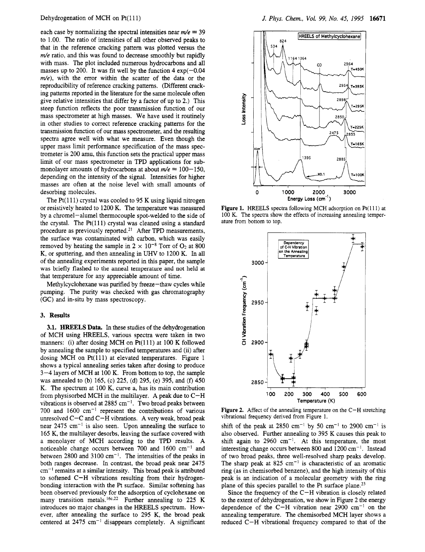each case by normalizing the spectral intensities near  $m/e = 39$ to 1.00. The ratio of intensities of all other observed peaks to that in the reference cracking pattern was plotted versus the  $m/e$  ratio, and this was found to decrease smoothly but rapidly with mass. The plot included numerous hydrocarbons and all masses up to 200. It was fit well by the function  $4 \exp(-0.04)$  $m/e$ ), with the error within the scatter of the data or the reproducibility of reference cracking patterns. (Different cracking patterns reported in the literature for the same molecule often give relative intensities that differ by <sup>a</sup> factor of up to 2.) This steep function reflects the poor transmission function of our mass spectrometer at high masses. We have used it routinely in other studies to correct reference cracking patterns for the transmission function of our mass spectrometer, and the resulting spectra agree well with what we measure. Even though the upper mass limit performance specification of the mass spectrometer is 200 amu, this function sets the practical upper mass limit of our mass spectrometer in TPD applications for submonolayer amounts of hydrocarbons at about  $m/e = 100 - 150$ , depending on the intensity of the signal. Intensities for higher masses are often at the noise level with small amounts of desorbing molecules.

The  $Pt(111)$  crystal was cooled to 95 K using liquid nitrogen or resistively heated to 1200 K. The temperature was measured by <sup>a</sup> chromel—alumel thermocouple spot-welded to the side of the crystal. The  $Pt(111)$  crystal was cleaned using a standard procedure as previously reported.21 After TPD measurements, the surface was contaminated with carbon, which was easily removed by heating the sample in  $2 \times 10^{-8}$  Torr of O<sub>2</sub> at 800 K, or sputtering, and then annealing in UHV to 1200 K. In all of the annealing experiments reported in this paper, the sample was briefly flashed to the anneal temperature and not held at that temperature for any appreciable amount of time.

Methylcyclohexane was purified by freeze—thaw cycles while pumping. The purity was checked with gas chromatography (GC) and in-situ by mass spectroscopy.

## 3. Results

3.1. HREELS Data. In these studies of the dehydrogenation of MCH using HREELS, various spectra were taken in two manners: (i) after dosing MCH on  $Pt(111)$  at 100 K followed by annealing the sample to specified temperatures and (ii) after dosing MCH on Pt(111) at elevated temperatures. Figure 1 shows <sup>a</sup> typical annealing series taken after dosing to produce 3—4 layers of MCH at <sup>100</sup> K. From bottom to top, the sample was annealed to (b) 165, (c) 225, (d) 295, (e) 395, and (f) 450 K. The spectrum at 100 K, curve a, has its main contribution from physisorbed MCH in the multilayer. A peak due to  $C-H$ vibrations is observed at 2885 cm<sup>-1</sup>. Two broad peaks between 700 and 1600  $cm^{-1}$  represent the contributions of various unresolved C—C and C—H vibrations. A very weak, broad peak near  $2475 \text{ cm}^{-1}$  is also seen. Upon annealing the surface to <sup>165</sup> K, the multilayer desorbs, leaving the surface covered with <sup>a</sup> monolayer of MCH according to the TPD results. A noticeable change occurs between 700 and  $1600 \text{ cm}^{-1}$  and between 2800 and 3100 cm<sup>-1</sup>. The intensities of the peaks in both ranges decrease. In contrast, the broad peak near 2475  $cm<sup>-1</sup>$  remains at a similar intensity. This broad peak is attributed to softened C—H vibrations resulting from their hydrogenbonding interaction with the Pt surface. Similar softening has been observed previously for the adsorption of cyclohexane on many transition metals.<sup>16c.22</sup> Further annealing to 225 K introduces no major changes in the HREELS spectrum. However, after annealing the surface to 295 K, the broad peak centered at  $2475 \text{ cm}^{-1}$  disappears completely. A significant



Figure 1. HREELS spectra following MCH adsorption on Pt(111) at <sup>100</sup> K. The spectra show the effects of increasing annealing temperature from bottom to top.



**Figure 2.** Affect of the annealing temperature on the  $C-H$  stretching vibrational frequency derived from Figure 1.

shift of the peak at 2850 cm<sup>-1</sup> by 50 cm<sup>-1</sup> to 2900 cm<sup>-1</sup> is also observed. Further annealing to 395 K causes this peak to shift again to 2960 cm<sup>-1</sup>. At this temperature, the most interesting change occurs between 800 and  $1200 \text{ cm}^{-1}$ . Instead of two broad peaks, three well-resolved sharp peaks develop. The sharp peak at  $825 \text{ cm}^{-1}$  is characteristic of an aromatic ring (as in chemisorbed benzene), and the high intensity of this peak is an indication of <sup>a</sup> molecular geometry with the ring plane of this species parallel to the Pt surface plane.<sup>23</sup>

Since the frequency of the C—H vibration is closely related to the extent of dehydrogenation, we show in Figure <sup>2</sup> the energy dependence of the C-H vibration near 2900 cm<sup>-1</sup> on the annealing temperature. The chemisorbed MCH layer shows <sup>a</sup> reduced C—H vibrational frequency compared to that of the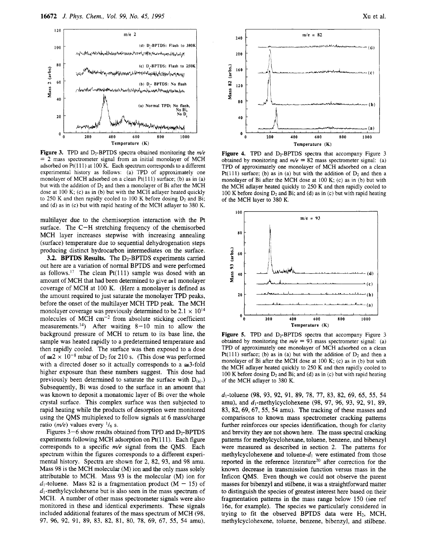

Figure 3. TPD and D<sub>2</sub>-BPTDS spectra obtained monitoring the  $m/e$ = <sup>2</sup> mass spectrometer signal from an initial monolayer of MCH adsorbed on  $Pt(111)$  at 100 K. Each spectrum corresponds to a different experimental history as follows: (a) TPD of approximately one monolayer of MCH adsorbed on a clean  $Pt(111)$  surface; (b) as in (a) but with the addition of  $D_2$  and then a monolayer of Bi after the MCH dose at <sup>100</sup> K; (c) as in (b) but with the MCH adlayer heated quickly to 250 K and then rapidly cooled to 100 K before dosing  $D_2$  and Bi; and (d) as in (c) but with rapid heating of the MCH adlayer to 380 K.

multilayer due to the chemisorption interaction with the Pt surface. The C—H stretching frequency of the chemisorbed MCH layer increases stepwise with increasing annealing (surface) temperature due to sequential dehydrogenation steps producing distinct hydrocarbon intermediates on the surface.

3.2. BPTDS Results. The  $D_2$ -BPTDS experiments carried out here are <sup>a</sup> variation of normal BPTDS and were performed as follows.<sup>17</sup> The clean Pt $(111)$  sample was dosed with an amount of MCH that had been determined to give  $\approx$  1 monolayer coverage of MCH at <sup>100</sup> K. (Here <sup>a</sup> monolayer is defined as the amount required to just saturate the monolayer TPD peaks, before the onset of the multilayer MCH TPD peak. The MCH monolayer coverage was previously determined to be  $2.1 \times 10^{14}$ molecules of MCH  $cm^{-2}$  from absolute sticking coefficient measurements.<sup>14</sup>) After waiting  $8-10$  min to allow the background pressure of MCH to return to its base line, the sample was heated rapidly to <sup>a</sup> predetermined temperature and then rapidly cooled. The surface was then exposed to <sup>a</sup> dose of  $\approx 2 \times 10^{-8}$  mbar of D<sub>2</sub> for 210 s. (This dose was performed with a directed doser so it actually corresponds to a  $\approx 3$ -fold higher exposure than these numbers suggest. This dose had previously been determined to saturate the surface with  $D_{(a)}$ .) Subsequently, Bi was dosed to the surface in an amount that was known to deposit <sup>a</sup> monatomic layer of Bi over the whole crystal surface. This complex surface was then subjected to rapid heating while the products of desorption were monitored using the QMS multiplexed to follow signals at <sup>6</sup> mass/charge ratio ( $m/e$ ) values every  $\frac{1}{6}$  s.

Figures  $3-6$  show results obtained from TPD and  $D_2$ -BPTDS experiments following MCH adsorption on  $Pt(111)$ . Each figure corresponds to a specific  $m/e$  signal from the QMS. Each spectrum within the figures corresponds to <sup>a</sup> different experimental history. Spectra are shown for 2, 82, 93, and 98 amu. Mass <sup>98</sup> is the MCH molecular (M) ion and the only mass solely attributable to MCH. Mass 93 is the molecular (M) ion for  $d_1$ -toluene. Mass 82 is a fragmentation product (M – 15) of  $d_1$ -methylcyclohexene but is also seen in the mass spectrum of MCH. A number of other mass spectrometer signals were also monitored in these and identical experiments. These signals included additional features of the mass spectrum of MCH (98, 97, 96, 92, 91, 89, 83, 82, 81, 80, 78, 69, 67, 55, 54 amu),



Figure 4. TPD and D<sub>2</sub>-BPTDS spectra that accompany Figure 3 obtained by monitoring and  $m/e = 82$  mass spectrometer signal: (a) TPD of approximately one monolayer of MCH adsorbed on <sup>a</sup> clean Pt(111) surface; (b) as in (a) but with the addition of  $D_2$  and then a monolayer of Bi after the MCH dose at <sup>100</sup> K; (c) as in (b) but with the MCH adlayer heated quickly to 250 K and then rapidly cooled to 100 K before dosing  $D_2$  and Bi; and (d) as in (c) but with rapid heating of the MCH layer to 380 K.



**Figure 5.** TPD and  $D_2$ -BPTDS spectra that accompany Figure 3 obtained by monitoring the  $m/e = 93$  mass spectrometer signal: (a) TPD of approximately one monolayer of MCH adsorbed on <sup>a</sup> clean Pt(111) surface; (b) as in (a) but with the addition of  $D_2$  and then a monolayer of Bi after the MCH dose at <sup>100</sup> K; (c) as in (b) but with the MCH adlayer heated quickly to 250 K and then rapidly cooled to 100 K before dosing  $D_2$  and Bi; and (d) as in (c) but with rapid heating of the MCH adlayer to 380 K.

d,-toluene (98, 93, 92, 91, 89, 78, 77, 83, 82, 69, 65, 55, 54 amu), and  $d_1$ -methylcyclohexene (98, 97, 96, 93, 92, 91, 89, 83, 82, 69, 67, 55, 54 amu). The tracking of these masses and comparisons to known mass spectrometer cracking patterns further reinforces our species identification, though for clarity and brevity they are not shown here. The mass spectral cracking patterns for methylcyclohexane, toluene, benzene, and bibenzyl were measured as described in section 2. The patterns for methylcyclohexene and toluene- $d_1$  were estimated from those reported in the reference literature<sup>20</sup> after correction for the known decrease in transmission function versus mass in the Inficon QMS. Even though we could not observe the parent masses for bibenzyl and stilbene, it was <sup>a</sup> straightforward matter to distinguish the species of greatest interest here based on their fragmentation patterns in the mass range below 150 (see ref 16e, for example). The species we particularly considered in trying to fit the observed BPTDS data were  $H_2$ , MCH, methylcyclohexene, toluene, benzene, bibenzyl, and stilbene.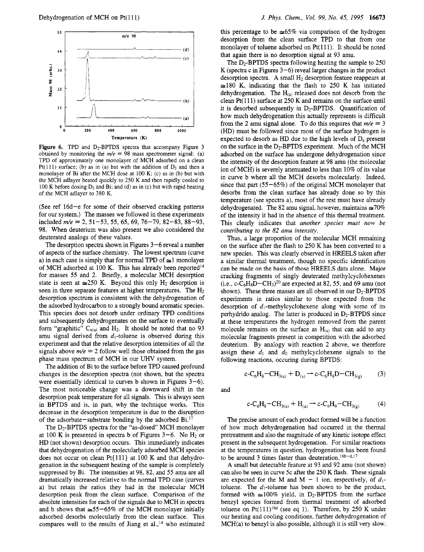

Figure 6. TPD and  $D_2$ -BPTDS spectra that accompany Figure 3 obtained by monitoring the  $m/e = 98$  mass spectrometer signal: (a) TPD of approximately one monolayer of MCH adsorbed on <sup>a</sup> clean Pt(111) surface; (b) as in (a) but with the addition of  $D_2$  and then a monolayer of Bi after the MCH dose at <sup>100</sup> K; (c) as in (b) but with the MCH adlayer heated quickly to 250 K and then rapidly cooled to 100 K before dosing  $D_2$  and Bi; and (d) as in (c) but with rapid heating of the MCH adlayer to 380 K.

(See ref 16d—e for some of their observed cracking patterns for our system.) The masses we followed in these experiments included  $m/e = 2, 51-53, 55, 65, 69, 76-79, 82-83, 88-93,$ 98. When deuterium was also present we also considered the deuterated analogs of these values.

The desorption spectra shown in Figures 3—6 reveal <sup>a</sup> number of aspects of the surface chemistry. The lowest spectrum (curve a) in each case is simply that for normal TPD of  $\leq 1$  monolayer of MCH adsorbed at 100 K. This has already been reported<sup>14</sup> for masses <sup>55</sup> and 2. Briefly, <sup>a</sup> molecular MCH desorption state is seen at  $\approx$  250 K. Beyond this only H<sub>2</sub> desorption is seen in three separate features at higher temperatures. The  $H_2$ desorption spectrum is consistent with the dehydrogenation of the adsorbed hydrocarbon to <sup>a</sup> strongly bound aromatic species. This species does not desorb under ordinary TPD conditions and subsequently dehydrogenates on the surface to eventually form "graphitic"  $C_{n(a)}$  and  $H_2$ . It should be noted that no 93 amu signal derived from  $d_1$ -toluene is observed during this experiment and that the relative desorption intensities of all the signals above  $m/e = 2$  follow well those obtained from the gas phase mass spectrum of MCH in our UHV system.

The addition of Bi to the surface before TPD caused profound changes in the desorption spectra (not shown, but the spectra were essentially identical to curves b shown in Figures  $3-6$ ). The most noticeable change was <sup>a</sup> downward shift in the desorption peak temperature for all signals. This is always seen in BPTDS and is, in part, why the technique works. This decrease in the desorption temperature is due to the disruption of the adsorbate—substrate bonding by the adsorbed Bi.17

The  $D_2$ -BPTDS spectra for the "as-dosed" MCH monolayer at 100 K is presented in spectra b of Figures  $3-6$ . No H<sub>2</sub> or HD (not shown) desorption occurs. This immediately indicates that dehydrogenation of the molecularly adsorbed MCH species does not occur on clean Pt{ 111} at <sup>100</sup> K and that dehydrogenation in the subsequent heating of the sample is completely suppressed by Bi. The intensities at 98, 82, and 55 amu are all dramatically increased relative to the normal TPD case (curves a) but retain the ratios they had in the molecular MCH desorption peak from the clean surface. Comparison of the absolute intensities for each of the signals due to MCH in spectra and b shows that  $\approx 55-65\%$  of the MCH monolayer initially adsorbed desorbs molecularly from the clean surface. This compares well to the results of Jiang et al., $14$  who estimated this percentage to be  $\approx 65\%$  via comparison of the hydrogen desorption from the clean surface TPD to that from one monolayer of toluene adsorbed on Pt(111). It should be noted that again there is no desorption signal at 93 amu.

The  $D_2$ -BPTDS spectra following heating the sample to 250 K (spectra <sup>c</sup> in Figures 3—6) reveal larger changes in the product desorption spectra. A small  $H_2$  desorption feature reappears at  $\approx$  180 K, indicating that the flash to 250 K has initiated dehydrogenation. The  $H_{(a)}$  released does not desorb from the clean  $Pt(111)$  surface at 250 K and remains on the surface until it is desorbed subsequently in  $D_2$ -BPTDS. Quantification of how much dehydrogenation this actually represents is difficult from the 2 amu signal alone. To do this requires that  $m/e = 3$ (HD) must be followed since most of the surface hydrogen is expected to desorb as HD due to the high levels of  $D_a$  present on the surface in the  $D_2$ -BPTDS experiment. Much of the MCH adsorbed on the surface has undergone dehydrogenation since the intensity of the desorption feature at <sup>98</sup> amu (the molecular ion of MCH) is severely attenuated to less than 10% of its value in curve b where all the MCH desorbs molecularly. Indeed, since that part (55—65%) of the original MCH monolayer that desorbs from the clean surface has already done so by this temperature (see spectra a), most of the rest must have already dehydrogenated. The 82 amu signal, however, maintains  $\approx 70\%$ of the intensity it had in the absence of this thermal treatment. This clearly indicates that another species must now be contributing to the 82 amu intensity.

Thus, <sup>a</sup> large proportion of the molecular MCH remaining on the surface after the flash to 250 K has been converted to <sup>a</sup> new species. This was clearly observed in HREELS taken after <sup>a</sup> similar thermal treatment, though no specific identification can be made on the basis of those HREELS data alone. Major cracking fragments of singly deuterated methylcyclohexenes (i.e., c-C<sub>6</sub>H<sub>8</sub>D-CH<sub>3</sub>)<sup>20</sup> are expected at 82, 55, and 69 amu (not shown). These three masses are all observed in our  $D_2$ -BPTDS experiments in ratios similar to those expected from the desorption of  $d_1$ -methylcyclohexene along with some of its perhydrido analog. The latter is produced in  $D_2$ -BTPDS since at these temperatures the hydrogen removed from the parent molecule remains on the surface as  $H<sub>(a)</sub>$  that can add to any molecular fragments present in competition with the adsorbed deuterium. By analogy with reaction <sup>2</sup> above, we therefore assign these  $d_1$  and  $d_0$  methylcyclohexene signals to the following reactions, occuring during BPTDS:

$$
c - C_6 H_8 - CH_{3(a)} + D_{(a)} \rightarrow c - C_6 H_8 D - CH_{3(g)} \tag{3}
$$

and

$$
c - C_6H_8 - CH_{3(a)} + H_{(a)} \rightarrow c - C_6H_9 - CH_{3(g)} \tag{4}
$$

The precise amount of each product formed will be <sup>a</sup> function of how much dehydrogenation had occurred in the thermal pretreatment and also the magnitude of any kinetic isotope effect present in the subsequent hydrogenation. For similar reactions at the temperatures in question, hydrogenation has been found to be around 3 times faster than deuteration.<sup>16b-d,17</sup>

A small but detectable feature at 93 and 92 amu (not shown) can also be seen in curve 5c after the 250 K flash. These signals are expected for the M and M – 1 ion, respectively, of  $d_1$ toluene. The  $d_1$ -toluene has been shown to be the product, formed with  $\approx 100\%$  yield, in D<sub>2</sub>-BPTDS from the surface benzyl species formed from thermal treatment of adsorbed toluene on Pt $(111)^{16d}$  (see eq 1). Therefore, by 250 K under our heating and cooling conditions, further dehydrogenation of MCH(a) to benzyl is also possible, although it is still very slow.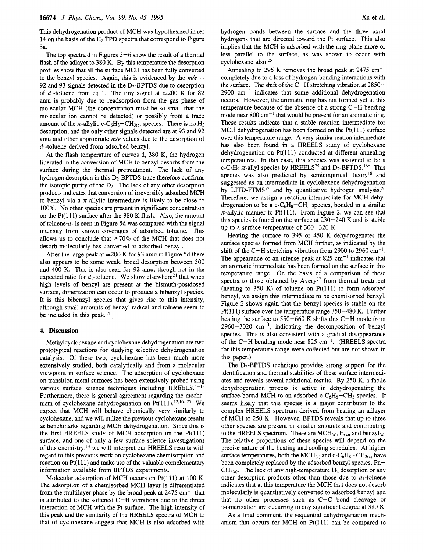This dehydrogenation product of MCH was hypothesized in ref 14 on the basis of the  $H_2$  TPD spectra that correspond to Figure 3a.

The top spectra d in Figures 3—6 show the result of <sup>a</sup> thermal flash of the adlayer to 380 K. By this temperature the desorption profiles show that all the surface MCH has been fully converted to the benzyl species. Again, this is evidenced by the  $m/e =$ 92 and 93 signals detected in the  $D_2$ -BPTDS due to desorption of  $d_1$ -toluene from eq 1. The tiny signal at  $\approx 200$  K for 82 amu is probably due to readsorption from the gas phase of molecular MCH (the concentration must be so small that the molecular ion cannot be detected) or possibly from <sup>a</sup> trace amount of the  $\pi$ -allylic c-C<sub>6</sub>H<sub>8</sub>-CH<sub>3(a)</sub> species. There is no H<sub>2</sub> desorption, and the only other signals detected are at 93 and 92 amu and other appropriate  $m/e$  values due to the desorption of  $d_1$ -toluene derived from adsorbed benzyl.

At the flash temperature of curves d, 380 K, the hydrogen liberated in the conversion of MCH to benzyl desorbs from the surface during the thermal pretreatment. The lack of any hydrogen desorption in this  $D_2$ -BPTDS trace therefore confirms the isotopic purity of the  $D_2$ . The lack of any other desorption products indicates that conversion of irreversibly adsorbed MCH to benzyl via a  $\pi$ -allylic intermediate is likely to be close to 100%. No other species are present in significant concentration on the Pt $(111)$  surface after the 380 K flash. Also, the amount of toluene- $d_1$  is seen in Figure 5d was compared with the signal intensity from known coverages of adsorbed toluene. This allows us to conclude that  $>70\%$  of the MCH that does not desorb molecularly has converted to adsorbed benzyl.

After the large peak at  $\approx 200$  K for 93 amu in Figure 5d there also appears to be some weak, broad desorption between 300 and 400 K. This is also seen for 92 amu, though not in the expected ratio for  $d_1$ -toluene. We show elsewhere<sup>24</sup> that when high levels of benzyl are present at the bismuth-postdosed surface, dimerization can occur to produce <sup>a</sup> bibenzyl species. It is this bibenzyl species that gives rise to this intensity, although small amounts of benzyl radical and toluene seem to be included in this peak.24

#### 4. Discussion

Methylcyclohexane and cyclohexane dehydrogenation are two prototypical reactions for studying selective dehydrogenation catalysis. Of these two, cyclohexane has been much more extensively studied, both catalytically and from <sup>a</sup> molecular viewpoint in surface science. The adsorption of cyclohexane on transition metal surfaces has been extensively probed using various surface science techniques including HREELS.<sup>1-13</sup> Furthermore, there is general agreement regarding the mechanism of cyclohexane dehydrogenation on Pt $(111)$ .<sup>12,16c,25</sup> We expect that MCH will behave chemically very similarly to cyclohexane, and we will utilize the previous cyclohexane results as benchmarks regarding MCH dehydrogenation. Since this is the first HREELS study of MCH adsorption on the Pt(111) surface, and one of only <sup>a</sup> few surface science investigations of this chemistry,<sup>14</sup> we will interpret our HREELS results with regard to this previous work on cyclohexane chemisorption and reaction on  $Pt(111)$  and make use of the valuable complementary information available from BPTDS experiments.

Molecular adsorption of MCH occurs on  $Pt(111)$  at 100 K. The adsorption of <sup>a</sup> chemisorbed MCH layer is differentiated from the multilayer phase by the broad peak at  $2475 \text{ cm}^{-1}$  that is attributed to the softened C—H vibrations due to the direct interaction of MCH with the Pt surface. The high intensity of this peak and the similarity of the HREELS spectra of MCH to that of cyclohexane suggest that MCH is also adsorbed with

hydrogen bonds between the surface and the three axial hydrogens that are directed toward the Pt surface. This also implies that the MCH is adsorbed with the ring plane more or less parallel to the surface, as was shown to occur with cyclohexane also.25

Annealing to 295 K removes the broad peak at 2475 cm<sup>-1</sup> completely due to <sup>a</sup> loss of hydrogen-bonding interactions with the surface. The shift of the C—H stretching vibration at 2850— 2900 cm-1 indicates that some additional dehydrogenation occurs. However, the aromatic ring has not formed yet at this temperature because of the absence of <sup>a</sup> strong C—H bending mode near  $800 \text{ cm}^{-1}$  that would be present for an aromatic ring. These results indicate that a stable reaction intermediate for MCH dehydrogenation has been formed on the  $Pt(111)$  surface over this temperature range. A very similar reation intermediate has also been found in <sup>a</sup> HREELS study of cyclohexane dehydrogenation on Pt(111) conducted at different annealing temperatures. In this case, this species was assigned to be <sup>a</sup> c-C<sub>6</sub>H<sub>9</sub>  $\pi$ -allyl species by HREELS<sup>25</sup> and D<sub>2</sub>-BPTDS.<sup>16c</sup> This species was also predicted by semiempirical theory<sup>18</sup> and suggested as an intermediate in cyclohexene dehydrogenation by LITD-FTMS<sup>12</sup> and by quantitative hydrogen analysis.<sup>26</sup> Therefore, we assign <sup>a</sup> reaction intermediate for MCH dehydrogenation to be a  $c - C_6H_8 - CH_3$  species, bonded in a similar  $\pi$ -allylic manner to Pt(111). From Figure 2, we can see that this species is found on the surface at 230—240 K and is stable up to <sup>a</sup> surface temperature of 300—320 K.

Heating the surface to 395 or 450 K dehydrogenates the surface species formed from MCH further, as indicated by the shift of the C-H stretching vibration from 2900 to 2960 cm<sup>-1</sup>. The appearance of an intense peak at  $825 \text{ cm}^{-1}$  indicates that an aromatic intermediate has been formed on the surface in this temperature range. On the basis of <sup>a</sup> comparison of these spectra to those obtained by  $Avery^{27}$  from thermal treatment (heating to 350 K) of toluene on  $Pt(111)$  to form adsorbed benzyl, we assign this intermediate to be chemisorbed benzyl. Figure <sup>2</sup> shows again that the benzyl species is stable on the Pt{ 111) surface over the temperature range 350—480 K. Further heating the surface to 550—660 K shifts this C—H mode from  $2960 - 3020$  cm<sup>-1</sup>, indicating the decomposition of benzyl species. This is also consistent with <sup>a</sup> gradual disappearance of the C-H bending mode near 825 cm<sup>-1</sup>. (HREELS spectra for this temperature range were collected but are not shown in this paper.)

The D<sub>2</sub>-BPTDS technique provides strong support for the identification and thermal stabilities of these surface intermediates and reveals several additional results. By 250 K, <sup>a</sup> facile dehydrogenation process is active in dehydrogenating the surface-bound MCH to an adsorbed  $c$ -C<sub>6</sub>H<sub>8</sub>-CH<sub>3</sub> species. It seems likely that this species is <sup>a</sup> major contributor to the complex HREELS spectrum derived from heating an adlayer of MCH to 250 K. However, BPTDS reveals that up to three other species are present in smaller amounts and contributing to the HREELS spectrum. These are  $MCH_{(a)}$ ,  $H_{(a)}$ , and benzyl<sub>(a)</sub>. The relative proportions of these species will depend on the precise nature of the heating and cooling schedules. At higher surface temperatures, both the  $MCH_{(a)}$  and  $c-C_6H_8-CH_{3(a)}$  have been completely replaced by the adsorbed benzyl species, Ph—  $CH<sub>2(a)</sub>$ . The lack of any high-temperature H<sub>2</sub> desorption or any other desorption products other than those due to  $d_1$ -toluene indicates that at this temperature the MCH that does not desorb molecularly is quantitatively converted to adsorbed benzyl and that no other processes such as C—C bond cleavage or isomerization are occurring to any significant degree at 380 K.

As <sup>a</sup> final comment, the sequential dehydrogenation mechanism that occurs for MCH on  $Pt(111)$  can be compared to